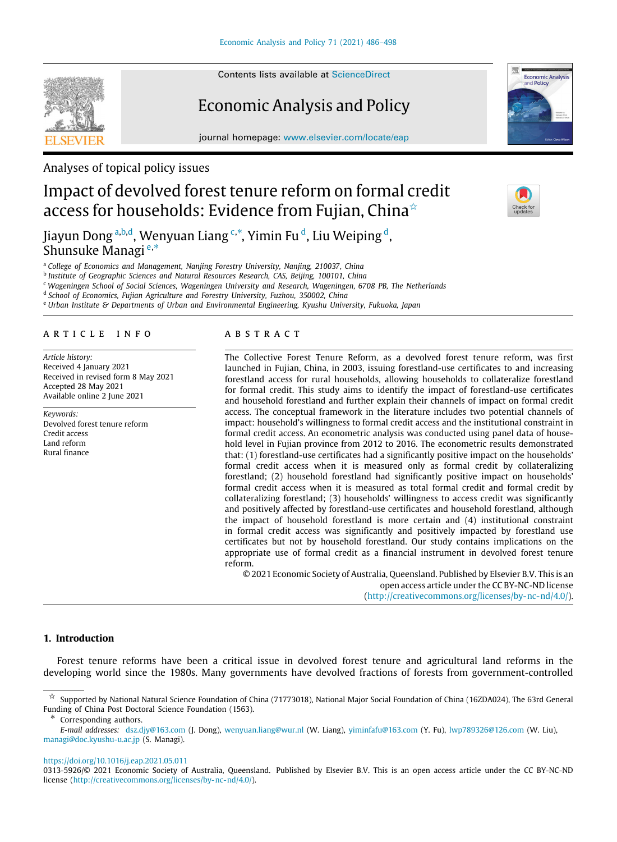Contents lists available at [ScienceDirect](http://www.elsevier.com/locate/eap)

# Economic Analysis and Policy

journal homepage: [www.elsevier.com/locate/eap](http://www.elsevier.com/locate/eap)

Analyses of topical policy issues

# Impact of devolved forest tenure reform on formal credit access for households: Evidence from Fujian, China<sup>\*</sup>

Ji[a](#page-0-1)yun Dong <sup>a,[b](#page-0-2),[d](#page-0-3)</sup>, Wenyuan Liang <sup>[c](#page-0-4),\*</sup>, Yimin Fu <sup>d</sup>, Liu Weiping <sup>d</sup>, Shunsuke Managi [e](#page-0-6),[∗](#page-0-5)

<span id="page-0-1"></span><sup>a</sup> *College of Economics and Management, Nanjing Forestry University, Nanjing, 210037, China*

<span id="page-0-2"></span>b *Institute of Geographic Sciences and Natural Resources Research, CAS, Beijing, 100101, China*

<span id="page-0-4"></span><sup>c</sup> *Wageningen School of Social Sciences, Wageningen University and Research, Wageningen, 6708 PB, The Netherlands*

<span id="page-0-3"></span>d *School of Economics, Fujian Agriculture and Forestry University, Fuzhou, 350002, China*

<span id="page-0-6"></span><sup>e</sup> *Urban Institute & Departments of Urban and Environmental Engineering, Kyushu University, Fukuoka, Japan*

# a r t i c l e i n f o

*Article history:* Received 4 January 2021 Received in revised form 8 May 2021 Accepted 28 May 2021 Available online 2 June 2021

*Keywords:* Devolved forest tenure reform Credit access Land reform Rural finance

## A B S T R A C T

The Collective Forest Tenure Reform, as a devolved forest tenure reform, was first launched in Fujian, China, in 2003, issuing forestland-use certificates to and increasing forestland access for rural households, allowing households to collateralize forestland for formal credit. This study aims to identify the impact of forestland-use certificates and household forestland and further explain their channels of impact on formal credit access. The conceptual framework in the literature includes two potential channels of impact: household's willingness to formal credit access and the institutional constraint in formal credit access. An econometric analysis was conducted using panel data of household level in Fujian province from 2012 to 2016. The econometric results demonstrated that: (1) forestland-use certificates had a significantly positive impact on the households' formal credit access when it is measured only as formal credit by collateralizing forestland; (2) household forestland had significantly positive impact on households' formal credit access when it is measured as total formal credit and formal credit by collateralizing forestland; (3) households' willingness to access credit was significantly and positively affected by forestland-use certificates and household forestland, although the impact of household forestland is more certain and (4) institutional constraint in formal credit access was significantly and positively impacted by forestland use certificates but not by household forestland. Our study contains implications on the appropriate use of formal credit as a financial instrument in devolved forest tenure reform.

© 2021 Economic Society of Australia, Queensland. Published by Elsevier B.V. This is an open access article under the CC BY-NC-ND license [\(http://creativecommons.org/licenses/by-nc-nd/4.0/\)](http://creativecommons.org/licenses/by-nc-nd/4.0/).

# **1. Introduction**

Forest tenure reforms have been a critical issue in devolved forest tenure and agricultural land reforms in the developing world since the 1980s. Many governments have devolved fractions of forests from government-controlled

<span id="page-0-5"></span>Corresponding authors.

*E-mail addresses:* [dsz.djy@163.com](mailto:dsz.djy@163.com) (J. Dong), [wenyuan.liang@wur.nl](mailto:wenyuan.liang@wur.nl) (W. Liang), [yiminfafu@163.com](mailto:yiminfafu@163.com) (Y. Fu), [lwp789326@126.com](mailto:lwp789326@126.com) (W. Liu), [managi@doc.kyushu-u.ac.jp](mailto:managi@doc.kyushu-u.ac.jp) (S. Managi).

<https://doi.org/10.1016/j.eap.2021.05.011>







<span id="page-0-0"></span> $\frac{\dot{\varphi}}{\sqrt{2}}$  Supported by National Natural Science Foundation of China (71773018), National Major Social Foundation of China (16ZDA024), The 63rd General Funding of China Post Doctoral Science Foundation (1563).

<sup>0313-5926/</sup>© 2021 Economic Society of Australia, Queensland. Published by Elsevier B.V. This is an open access article under the CC BY-NC-ND license (<http://creativecommons.org/licenses/by-nc-nd/4.0/>).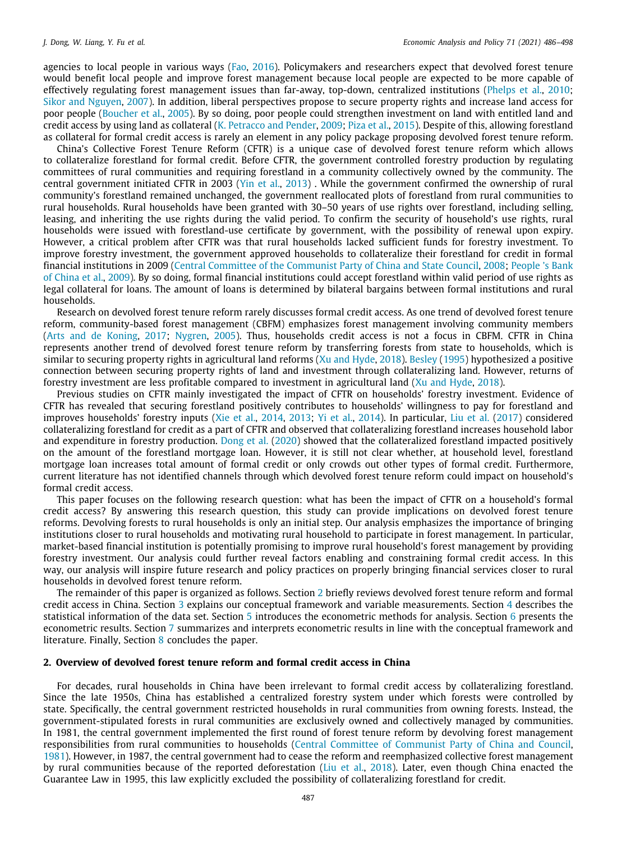agencies to local people in various ways [\(Fao,](#page-12-0) [2016](#page-12-0)). Policymakers and researchers expect that devolved forest tenure would benefit local people and improve forest management because local people are expected to be more capable of effectively regulating forest management issues than far-away, top-down, centralized institutions [\(Phelps et al.](#page-12-1), [2010;](#page-12-1) [Sikor and Nguyen](#page-12-2), [2007](#page-12-2)). In addition, liberal perspectives propose to secure property rights and increase land access for poor people [\(Boucher et al.](#page-12-3), [2005](#page-12-3)). By so doing, poor people could strengthen investment on land with entitled land and credit access by using land as collateral [\(K. Petracco and Pender](#page-12-4), [2009](#page-12-4); [Piza et al.](#page-12-5), [2015](#page-12-5)). Despite of this, allowing forestland as collateral for formal credit access is rarely an element in any policy package proposing devolved forest tenure reform.

China's Collective Forest Tenure Reform (CFTR) is a unique case of devolved forest tenure reform which allows to collateralize forestland for formal credit. Before CFTR, the government controlled forestry production by regulating committees of rural communities and requiring forestland in a community collectively owned by the community. The central government initiated CFTR in 2003 ([Yin et al.](#page-12-6), [2013](#page-12-6)) . While the government confirmed the ownership of rural community's forestland remained unchanged, the government reallocated plots of forestland from rural communities to rural households. Rural households have been granted with 30–50 years of use rights over forestland, including selling, leasing, and inheriting the use rights during the valid period. To confirm the security of household's use rights, rural households were issued with forestland-use certificate by government, with the possibility of renewal upon expiry. However, a critical problem after CFTR was that rural households lacked sufficient funds for forestry investment. To improve forestry investment, the government approved households to collateralize their forestland for credit in formal financial institutions in 2009 ([Central Committee of the Communist Party of China and State Council,](#page-12-7) [2008](#page-12-7); [People 's Bank](#page-12-8) [of China et al.](#page-12-8), [2009\)](#page-12-8). By so doing, formal financial institutions could accept forestland within valid period of use rights as legal collateral for loans. The amount of loans is determined by bilateral bargains between formal institutions and rural households.

Research on devolved forest tenure reform rarely discusses formal credit access. As one trend of devolved forest tenure reform, community-based forest management (CBFM) emphasizes forest management involving community members [\(Arts and de Koning](#page-11-0), [2017](#page-11-0); [Nygren,](#page-12-9) [2005](#page-12-9)). Thus, households credit access is not a focus in CBFM. CFTR in China represents another trend of devolved forest tenure reform by transferring forests from state to households, which is similar to securing property rights in agricultural land reforms ([Xu and Hyde](#page-12-10), [2018](#page-12-10)). [Besley](#page-12-11) [\(1995](#page-12-11)) hypothesized a positive connection between securing property rights of land and investment through collateralizing land. However, returns of forestry investment are less profitable compared to investment in agricultural land ([Xu and Hyde,](#page-12-10) [2018\)](#page-12-10).

Previous studies on CFTR mainly investigated the impact of CFTR on households' forestry investment. Evidence of CFTR has revealed that securing forestland positively contributes to households' willingness to pay for forestland and improves households' forestry inputs [\(Xie et al.,](#page-12-12) [2014,](#page-12-12) [2013](#page-12-13); [Yi et al.](#page-12-14), [2014\)](#page-12-14). In particular, [Liu et al.](#page-12-15) [\(2017\)](#page-12-15) considered collateralizing forestland for credit as a part of CFTR and observed that collateralizing forestland increases household labor and expenditure in forestry production. [Dong et al.](#page-12-16) ([2020\)](#page-12-16) showed that the collateralized forestland impacted positively on the amount of the forestland mortgage loan. However, it is still not clear whether, at household level, forestland mortgage loan increases total amount of formal credit or only crowds out other types of formal credit. Furthermore, current literature has not identified channels through which devolved forest tenure reform could impact on household's formal credit access.

This paper focuses on the following research question: what has been the impact of CFTR on a household's formal credit access? By answering this research question, this study can provide implications on devolved forest tenure reforms. Devolving forests to rural households is only an initial step. Our analysis emphasizes the importance of bringing institutions closer to rural households and motivating rural household to participate in forest management. In particular, market-based financial institution is potentially promising to improve rural household's forest management by providing forestry investment. Our analysis could further reveal factors enabling and constraining formal credit access. In this way, our analysis will inspire future research and policy practices on properly bringing financial services closer to rural households in devolved forest tenure reform.

The remainder of this paper is organized as follows. Section [2](#page-1-0) briefly reviews devolved forest tenure reform and formal credit access in China. Section [3](#page-2-0) explains our conceptual framework and variable measurements. Section [4](#page-5-0) describes the statistical information of the data set. Section  $5$  introduces the econometric methods for analysis. Section  $6$  presents the econometric results. Section [7](#page-9-0) summarizes and interprets econometric results in line with the conceptual framework and literature. Finally, Section [8](#page-11-1) concludes the paper.

# **2. Overview of devolved forest tenure reform and formal credit access in China**

<span id="page-1-0"></span>For decades, rural households in China have been irrelevant to formal credit access by collateralizing forestland. Since the late 1950s, China has established a centralized forestry system under which forests were controlled by state. Specifically, the central government restricted households in rural communities from owning forests. Instead, the government-stipulated forests in rural communities are exclusively owned and collectively managed by communities. In 1981, the central government implemented the first round of forest tenure reform by devolving forest management responsibilities from rural communities to households [\(Central Committee of Communist Party of China and Council,](#page-12-17) [1981\)](#page-12-17). However, in 1987, the central government had to cease the reform and reemphasized collective forest management by rural communities because of the reported deforestation [\(Liu et al.](#page-12-18), [2018](#page-12-18)). Later, even though China enacted the Guarantee Law in 1995, this law explicitly excluded the possibility of collateralizing forestland for credit.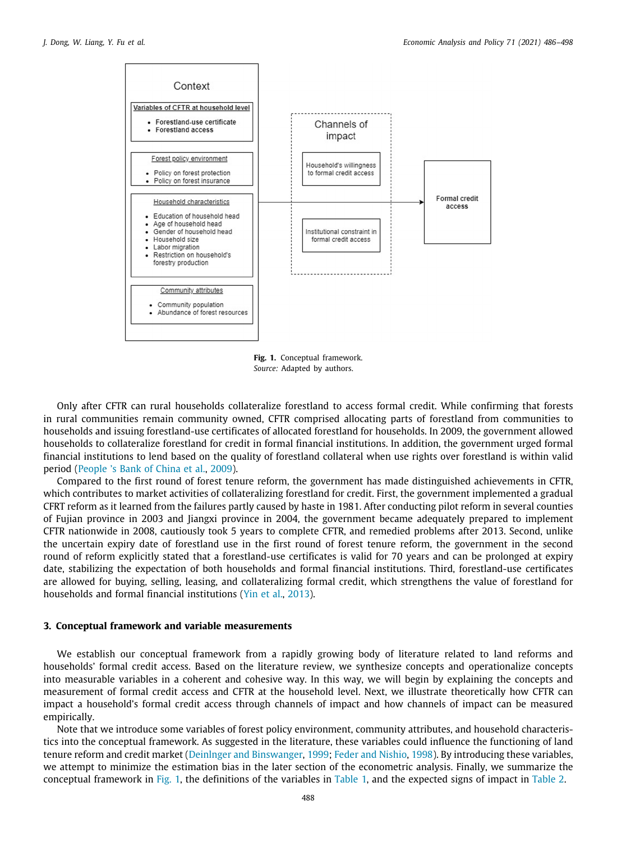

**Fig. 1.** Conceptual framework. *Source:* Adapted by authors.

<span id="page-2-1"></span>Only after CFTR can rural households collateralize forestland to access formal credit. While confirming that forests in rural communities remain community owned, CFTR comprised allocating parts of forestland from communities to households and issuing forestland-use certificates of allocated forestland for households. In 2009, the government allowed households to collateralize forestland for credit in formal financial institutions. In addition, the government urged formal financial institutions to lend based on the quality of forestland collateral when use rights over forestland is within valid period [\(People 's Bank of China et al.](#page-12-8), [2009](#page-12-8)).

Compared to the first round of forest tenure reform, the government has made distinguished achievements in CFTR, which contributes to market activities of collateralizing forestland for credit. First, the government implemented a gradual CFRT reform as it learned from the failures partly caused by haste in 1981. After conducting pilot reform in several counties of Fujian province in 2003 and Jiangxi province in 2004, the government became adequately prepared to implement CFTR nationwide in 2008, cautiously took 5 years to complete CFTR, and remedied problems after 2013. Second, unlike the uncertain expiry date of forestland use in the first round of forest tenure reform, the government in the second round of reform explicitly stated that a forestland-use certificates is valid for 70 years and can be prolonged at expiry date, stabilizing the expectation of both households and formal financial institutions. Third, forestland-use certificates are allowed for buying, selling, leasing, and collateralizing formal credit, which strengthens the value of forestland for households and formal financial institutions [\(Yin et al.](#page-12-6), [2013](#page-12-6)).

### **3. Conceptual framework and variable measurements**

<span id="page-2-0"></span>We establish our conceptual framework from a rapidly growing body of literature related to land reforms and households' formal credit access. Based on the literature review, we synthesize concepts and operationalize concepts into measurable variables in a coherent and cohesive way. In this way, we will begin by explaining the concepts and measurement of formal credit access and CFTR at the household level. Next, we illustrate theoretically how CFTR can impact a household's formal credit access through channels of impact and how channels of impact can be measured empirically.

Note that we introduce some variables of forest policy environment, community attributes, and household characteristics into the conceptual framework. As suggested in the literature, these variables could influence the functioning of land tenure reform and credit market ([Deinlnger and Binswanger](#page-12-19), [1999](#page-12-19); [Feder and Nishio](#page-12-20), [1998](#page-12-20)). By introducing these variables, we attempt to minimize the estimation bias in the later section of the econometric analysis. Finally, we summarize the conceptual framework in [Fig.](#page-2-1) [1](#page-2-1), the definitions of the variables in [Table](#page-3-0) [1,](#page-3-0) and the expected signs of impact in [Table](#page-4-0) [2](#page-4-0).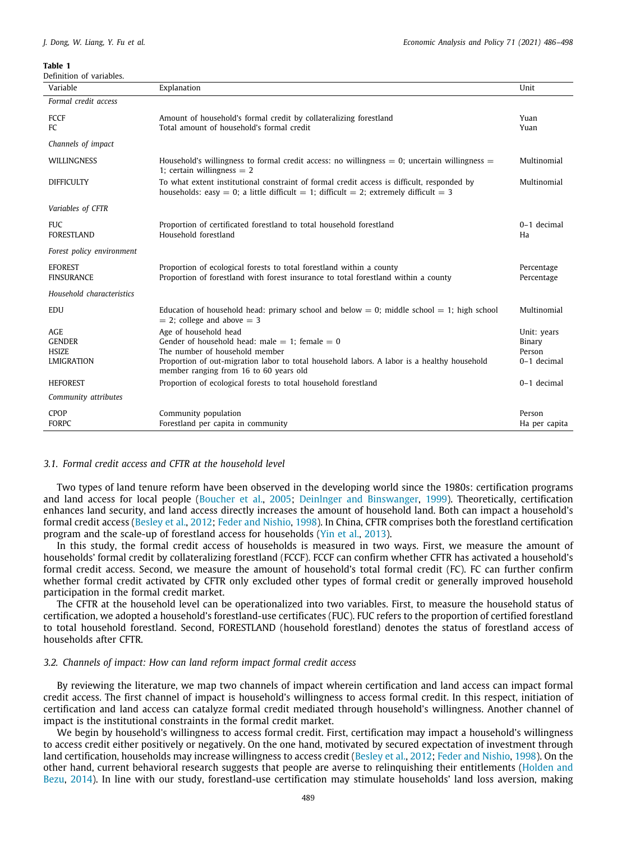<span id="page-3-0"></span>Definition of variables.

| Variable                                                  | Explanation                                                                                                                                                                                                                                             | Unit                                           |
|-----------------------------------------------------------|---------------------------------------------------------------------------------------------------------------------------------------------------------------------------------------------------------------------------------------------------------|------------------------------------------------|
| Formal credit access                                      |                                                                                                                                                                                                                                                         |                                                |
| FCCF<br>FC.                                               | Amount of household's formal credit by collateralizing forestland<br>Total amount of household's formal credit                                                                                                                                          | Yuan<br>Yuan                                   |
| Channels of impact                                        |                                                                                                                                                                                                                                                         |                                                |
| <b>WILLINGNESS</b>                                        | Household's willingness to formal credit access: no willingness $= 0$ ; uncertain willingness $=$<br>1; certain willingness $= 2$                                                                                                                       | Multinomial                                    |
| <b>DIFFICULTY</b>                                         | To what extent institutional constraint of formal credit access is difficult, responded by<br>households: easy = 0; a little difficult = 1; difficult = 2; extremely difficult = 3                                                                      | Multinomial                                    |
| Variables of CFTR                                         |                                                                                                                                                                                                                                                         |                                                |
| <b>FUC</b><br><b>FORESTLAND</b>                           | Proportion of certificated forestland to total household forestland<br>Household forestland                                                                                                                                                             | $0-1$ decimal<br>Ha                            |
| Forest policy environment                                 |                                                                                                                                                                                                                                                         |                                                |
| <b>EFOREST</b><br><b>FINSURANCE</b>                       | Proportion of ecological forests to total forestland within a county<br>Proportion of forestland with forest insurance to total forestland within a county                                                                                              | Percentage<br>Percentage                       |
| Household characteristics                                 |                                                                                                                                                                                                                                                         |                                                |
| EDU                                                       | Education of household head: primary school and below $= 0$ ; middle school $= 1$ ; high school<br>$=$ 2; college and above $=$ 3                                                                                                                       | Multinomial                                    |
| <b>AGE</b><br><b>GENDER</b><br><b>HSIZE</b><br>LMIGRATION | Age of household head<br>Gender of household head: male $= 1$ : female $= 0$<br>The number of household member<br>Proportion of out-migration labor to total household labors. A labor is a healthy household<br>member ranging from 16 to 60 years old | Unit: years<br>Binary<br>Person<br>0-1 decimal |
| <b>HEFOREST</b>                                           | Proportion of ecological forests to total household forestland                                                                                                                                                                                          | 0-1 decimal                                    |
| Community attributes                                      |                                                                                                                                                                                                                                                         |                                                |
| CPOP<br><b>FORPC</b>                                      | Community population<br>Forestland per capita in community                                                                                                                                                                                              | Person<br>Ha per capita                        |

# *3.1. Formal credit access and CFTR at the household level*

Two types of land tenure reform have been observed in the developing world since the 1980s: certification programs and land access for local people ([Boucher et al.,](#page-12-3) [2005](#page-12-3); [Deinlnger and Binswanger](#page-12-19), [1999\)](#page-12-19). Theoretically, certification enhances land security, and land access directly increases the amount of household land. Both can impact a household's formal credit access [\(Besley et al.](#page-12-21), [2012](#page-12-21); [Feder and Nishio,](#page-12-20) [1998\)](#page-12-20). In China, CFTR comprises both the forestland certification program and the scale-up of forestland access for households ([Yin et al.](#page-12-6), [2013\)](#page-12-6).

In this study, the formal credit access of households is measured in two ways. First, we measure the amount of households' formal credit by collateralizing forestland (FCCF). FCCF can confirm whether CFTR has activated a household's formal credit access. Second, we measure the amount of household's total formal credit (FC). FC can further confirm whether formal credit activated by CFTR only excluded other types of formal credit or generally improved household participation in the formal credit market.

The CFTR at the household level can be operationalized into two variables. First, to measure the household status of certification, we adopted a household's forestland-use certificates (FUC). FUC refers to the proportion of certified forestland to total household forestland. Second, FORESTLAND (household forestland) denotes the status of forestland access of households after CFTR.

# *3.2. Channels of impact: How can land reform impact formal credit access*

By reviewing the literature, we map two channels of impact wherein certification and land access can impact formal credit access. The first channel of impact is household's willingness to access formal credit. In this respect, initiation of certification and land access can catalyze formal credit mediated through household's willingness. Another channel of impact is the institutional constraints in the formal credit market.

We begin by household's willingness to access formal credit. First, certification may impact a household's willingness to access credit either positively or negatively. On the one hand, motivated by secured expectation of investment through land certification, households may increase willingness to access credit [\(Besley et al.](#page-12-21), [2012](#page-12-21); [Feder and Nishio](#page-12-20), [1998](#page-12-20)). On the other hand, current behavioral research suggests that people are averse to relinquishing their entitlements [\(Holden and](#page-12-22) [Bezu,](#page-12-22) [2014\)](#page-12-22). In line with our study, forestland-use certification may stimulate households' land loss aversion, making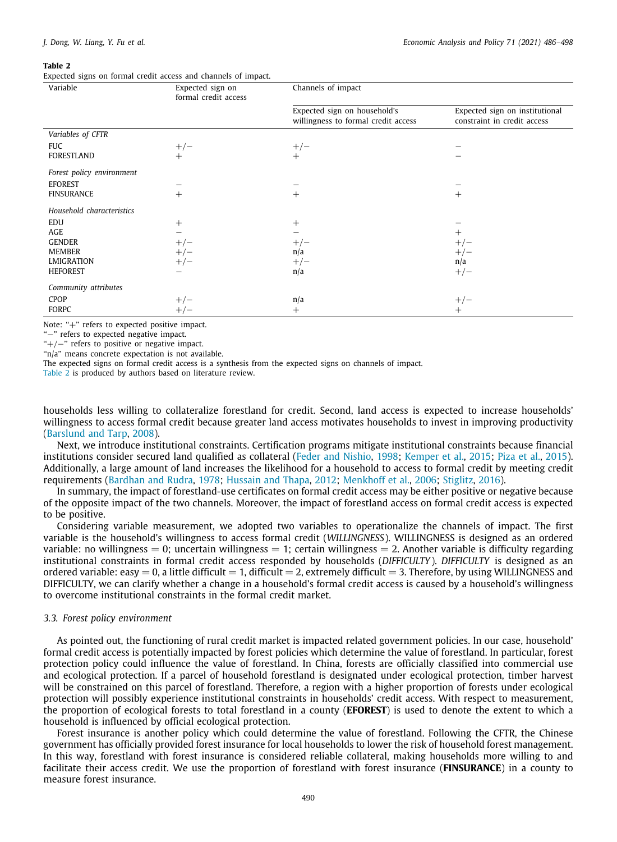<span id="page-4-0"></span>Expected signs on formal credit access and channels of impact.

| Variable                  | Expected sign on<br>formal credit access | Channels of impact                                                  |                                                               |
|---------------------------|------------------------------------------|---------------------------------------------------------------------|---------------------------------------------------------------|
|                           |                                          | Expected sign on household's<br>willingness to formal credit access | Expected sign on institutional<br>constraint in credit access |
| Variables of CFTR         |                                          |                                                                     |                                                               |
| <b>FUC</b>                | $+/-$                                    | $+/-$                                                               |                                                               |
| FORESTLAND                | $^{+}$                                   | $+$                                                                 |                                                               |
| Forest policy environment |                                          |                                                                     |                                                               |
| <b>EFOREST</b>            |                                          |                                                                     |                                                               |
| <b>FINSURANCE</b>         | $^{+}$                                   | $\hspace{0.1mm} +$                                                  | $^{+}$                                                        |
| Household characteristics |                                          |                                                                     |                                                               |
| EDU                       | $^{+}$                                   | $^{+}$                                                              |                                                               |
| AGE                       |                                          |                                                                     | $^+$                                                          |
| <b>GENDER</b>             | $+/-$                                    | $+/-$                                                               | $+/-$                                                         |
| MEMBER                    | $+/-$                                    | n/a                                                                 | $+/-$                                                         |
| LMIGRATION                | $+/-$                                    | $+/-$                                                               | n/a                                                           |
| <b>HEFOREST</b>           |                                          | n/a                                                                 | $+/-$                                                         |
| Community attributes      |                                          |                                                                     |                                                               |
| CPOP                      | $+/-$                                    | n/a                                                                 | $+/-$                                                         |
| FORPC                     | $+/-$                                    | $^{+}$                                                              | $^+$                                                          |

Note: "+" refers to expected positive impact.

''−'' refers to expected negative impact.

"+/-" refers to positive or negative impact.

"n/a" means concrete expectation is not available.

The expected signs on formal credit access is a synthesis from the expected signs on channels of impact.

[Table](#page-4-0) [2](#page-4-0) is produced by authors based on literature review.

households less willing to collateralize forestland for credit. Second, land access is expected to increase households' willingness to access formal credit because greater land access motivates households to invest in improving productivity [\(Barslund and Tarp](#page-12-23), [2008](#page-12-23)).

Next, we introduce institutional constraints. Certification programs mitigate institutional constraints because financial institutions consider secured land qualified as collateral ([Feder and Nishio,](#page-12-20) [1998;](#page-12-20) [Kemper et al.](#page-12-24), [2015](#page-12-24); [Piza et al.,](#page-12-5) [2015\)](#page-12-5). Additionally, a large amount of land increases the likelihood for a household to access to formal credit by meeting credit requirements ([Bardhan and Rudra](#page-12-25), [1978](#page-12-25); [Hussain and Thapa](#page-12-26), [2012](#page-12-26); [Menkhoff et al.,](#page-12-27) [2006](#page-12-27); [Stiglitz,](#page-12-28) [2016\)](#page-12-28).

In summary, the impact of forestland-use certificates on formal credit access may be either positive or negative because of the opposite impact of the two channels. Moreover, the impact of forestland access on formal credit access is expected to be positive.

Considering variable measurement, we adopted two variables to operationalize the channels of impact. The first variable is the household's willingness to access formal credit (*WILLINGNESS*). WILLINGNESS is designed as an ordered variable: no willingness  $= 0$ ; uncertain willingness  $= 1$ ; certain willingness  $= 2$ . Another variable is difficulty regarding institutional constraints in formal credit access responded by households (*DIFFICULTY*). *DIFFICULTY* is designed as an ordered variable: easy  $= 0$ , a little difficult  $= 1$ , difficult  $= 2$ , extremely difficult  $= 3$ . Therefore, by using WILLINGNESS and DIFFICULTY, we can clarify whether a change in a household's formal credit access is caused by a household's willingness to overcome institutional constraints in the formal credit market.

# *3.3. Forest policy environment*

As pointed out, the functioning of rural credit market is impacted related government policies. In our case, household' formal credit access is potentially impacted by forest policies which determine the value of forestland. In particular, forest protection policy could influence the value of forestland. In China, forests are officially classified into commercial use and ecological protection. If a parcel of household forestland is designated under ecological protection, timber harvest will be constrained on this parcel of forestland. Therefore, a region with a higher proportion of forests under ecological protection will possibly experience institutional constraints in households' credit access. With respect to measurement, the proportion of ecological forests to total forestland in a county (**EFOREST**) is used to denote the extent to which a household is influenced by official ecological protection.

Forest insurance is another policy which could determine the value of forestland. Following the CFTR, the Chinese government has officially provided forest insurance for local households to lower the risk of household forest management. In this way, forestland with forest insurance is considered reliable collateral, making households more willing to and facilitate their access credit. We use the proportion of forestland with forest insurance (**FINSURANCE**) in a county to measure forest insurance.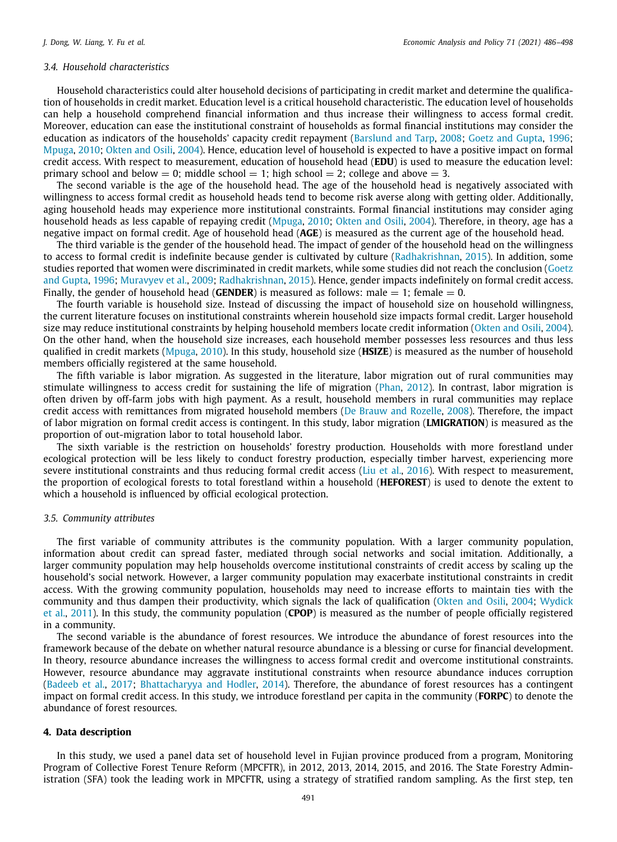### *3.4. Household characteristics*

Household characteristics could alter household decisions of participating in credit market and determine the qualification of households in credit market. Education level is a critical household characteristic. The education level of households can help a household comprehend financial information and thus increase their willingness to access formal credit. Moreover, education can ease the institutional constraint of households as formal financial institutions may consider the education as indicators of the households' capacity credit repayment ([Barslund and Tarp,](#page-12-23) [2008;](#page-12-23) [Goetz and Gupta,](#page-12-29) [1996;](#page-12-29) [Mpuga,](#page-12-30) [2010](#page-12-30); [Okten and Osili,](#page-12-31) [2004](#page-12-31)). Hence, education level of household is expected to have a positive impact on formal credit access. With respect to measurement, education of household head (**EDU**) is used to measure the education level: primary school and below  $= 0$ ; middle school  $= 1$ ; high school  $= 2$ ; college and above  $= 3$ .

The second variable is the age of the household head. The age of the household head is negatively associated with willingness to access formal credit as household heads tend to become risk averse along with getting older. Additionally, aging household heads may experience more institutional constraints. Formal financial institutions may consider aging household heads as less capable of repaying credit [\(Mpuga,](#page-12-30) [2010;](#page-12-30) [Okten and Osili](#page-12-31), [2004](#page-12-31)). Therefore, in theory, age has a negative impact on formal credit. Age of household head (**AGE**) is measured as the current age of the household head.

The third variable is the gender of the household head. The impact of gender of the household head on the willingness to access to formal credit is indefinite because gender is cultivated by culture ([Radhakrishnan,](#page-12-32) [2015\)](#page-12-32). In addition, some studies reported that women were discriminated in credit markets, while some studies did not reach the conclusion ([Goetz](#page-12-29) [and Gupta,](#page-12-29) [1996](#page-12-29); [Muravyev et al.](#page-12-33), [2009](#page-12-33); [Radhakrishnan,](#page-12-32) [2015\)](#page-12-32). Hence, gender impacts indefinitely on formal credit access. Finally, the gender of household head (**GENDER**) is measured as follows: male  $= 1$ ; female  $= 0$ .

The fourth variable is household size. Instead of discussing the impact of household size on household willingness, the current literature focuses on institutional constraints wherein household size impacts formal credit. Larger household size may reduce institutional constraints by helping household members locate credit information ([Okten and Osili,](#page-12-31) [2004\)](#page-12-31). On the other hand, when the household size increases, each household member possesses less resources and thus less qualified in credit markets [\(Mpuga,](#page-12-30) [2010](#page-12-30)). In this study, household size (**HSIZE**) is measured as the number of household members officially registered at the same household.

The fifth variable is labor migration. As suggested in the literature, labor migration out of rural communities may stimulate willingness to access credit for sustaining the life of migration ([Phan,](#page-12-34) [2012](#page-12-34)). In contrast, labor migration is often driven by off-farm jobs with high payment. As a result, household members in rural communities may replace credit access with remittances from migrated household members ([De Brauw and Rozelle,](#page-12-35) [2008](#page-12-35)). Therefore, the impact of labor migration on formal credit access is contingent. In this study, labor migration (**LMIGRATION**) is measured as the proportion of out-migration labor to total household labor.

The sixth variable is the restriction on households' forestry production. Households with more forestland under ecological protection will be less likely to conduct forestry production, especially timber harvest, experiencing more severe institutional constraints and thus reducing formal credit access [\(Liu et al.](#page-12-36), [2016\)](#page-12-36). With respect to measurement, the proportion of ecological forests to total forestland within a household (**HEFOREST**) is used to denote the extent to which a household is influenced by official ecological protection.

#### *3.5. Community attributes*

The first variable of community attributes is the community population. With a larger community population, information about credit can spread faster, mediated through social networks and social imitation. Additionally, a larger community population may help households overcome institutional constraints of credit access by scaling up the household's social network. However, a larger community population may exacerbate institutional constraints in credit access. With the growing community population, households may need to increase efforts to maintain ties with the community and thus dampen their productivity, which signals the lack of qualification ([Okten and Osili](#page-12-31), [2004;](#page-12-31) [Wydick](#page-12-37) [et al.,](#page-12-37) [2011\)](#page-12-37). In this study, the community population (**CPOP**) is measured as the number of people officially registered in a community.

The second variable is the abundance of forest resources. We introduce the abundance of forest resources into the framework because of the debate on whether natural resource abundance is a blessing or curse for financial development. In theory, resource abundance increases the willingness to access formal credit and overcome institutional constraints. However, resource abundance may aggravate institutional constraints when resource abundance induces corruption [\(Badeeb et al.,](#page-11-2) [2017](#page-11-2); [Bhattacharyya and Hodler](#page-12-38), [2014\)](#page-12-38). Therefore, the abundance of forest resources has a contingent impact on formal credit access. In this study, we introduce forestland per capita in the community (**FORPC**) to denote the abundance of forest resources.

#### **4. Data description**

<span id="page-5-0"></span>In this study, we used a panel data set of household level in Fujian province produced from a program, Monitoring Program of Collective Forest Tenure Reform (MPCFTR), in 2012, 2013, 2014, 2015, and 2016. The State Forestry Administration (SFA) took the leading work in MPCFTR, using a strategy of stratified random sampling. As the first step, ten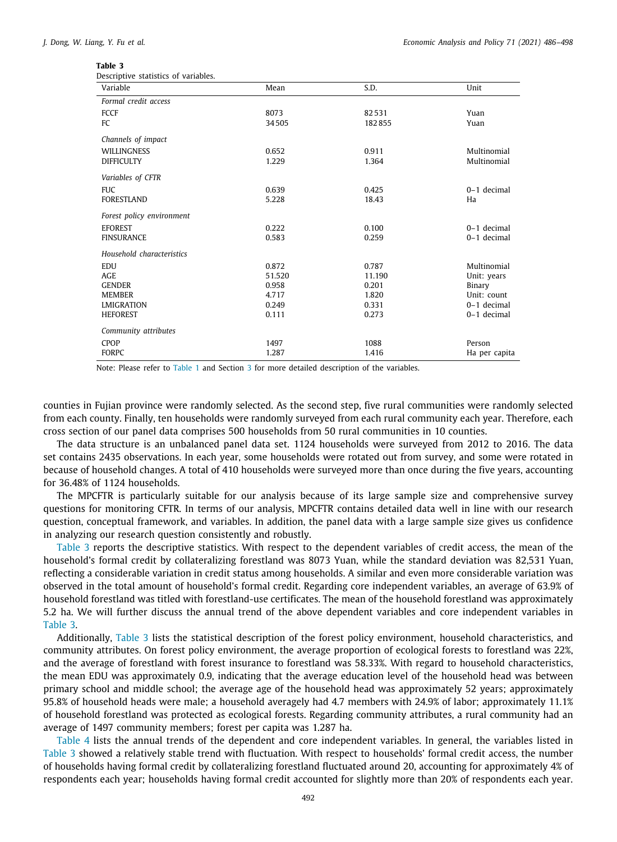<span id="page-6-0"></span>

| Table |  |
|-------|--|
|-------|--|

| Descriptive statistics of variables. |
|--------------------------------------|
|--------------------------------------|

| bescriptive statistics or variables.<br>Variable | Mean   | S.D.   | Unit          |
|--------------------------------------------------|--------|--------|---------------|
| Formal credit access                             |        |        |               |
| FCCF                                             | 8073   | 82531  | Yuan          |
| FC                                               | 34505  | 182855 | Yuan          |
| Channels of impact                               |        |        |               |
| <b>WILLINGNESS</b>                               | 0.652  | 0.911  | Multinomial   |
| <b>DIFFICULTY</b>                                | 1.229  | 1.364  | Multinomial   |
| Variables of CFTR                                |        |        |               |
| <b>FUC</b>                                       | 0.639  | 0.425  | 0-1 decimal   |
| <b>FORESTLAND</b>                                | 5.228  | 18.43  | Ha            |
| Forest policy environment                        |        |        |               |
| <b>EFOREST</b>                                   | 0.222  | 0.100  | $0-1$ decimal |
| <b>FINSURANCE</b>                                | 0.583  | 0.259  | 0-1 decimal   |
| Household characteristics                        |        |        |               |
| EDU                                              | 0.872  | 0.787  | Multinomial   |
| <b>AGE</b>                                       | 51.520 | 11.190 | Unit: years   |
| <b>GENDER</b>                                    | 0.958  | 0.201  | Binary        |
| <b>MEMBER</b>                                    | 4.717  | 1.820  | Unit: count   |
| <b>LMIGRATION</b>                                | 0.249  | 0.331  | 0-1 decimal   |
| <b>HEFOREST</b>                                  | 0.111  | 0.273  | 0-1 decimal   |
| Community attributes                             |        |        |               |
| <b>CPOP</b>                                      | 1497   | 1088   | Person        |
| <b>FORPC</b>                                     | 1.287  | 1.416  | Ha per capita |

Note: Please refer to [Table](#page-3-0) [1](#page-3-0) and Section [3](#page-2-0) for more detailed description of the variables.

counties in Fujian province were randomly selected. As the second step, five rural communities were randomly selected from each county. Finally, ten households were randomly surveyed from each rural community each year. Therefore, each cross section of our panel data comprises 500 households from 50 rural communities in 10 counties.

The data structure is an unbalanced panel data set. 1124 households were surveyed from 2012 to 2016. The data set contains 2435 observations. In each year, some households were rotated out from survey, and some were rotated in because of household changes. A total of 410 households were surveyed more than once during the five years, accounting for 36.48% of 1124 households.

The MPCFTR is particularly suitable for our analysis because of its large sample size and comprehensive survey questions for monitoring CFTR. In terms of our analysis, MPCFTR contains detailed data well in line with our research question, conceptual framework, and variables. In addition, the panel data with a large sample size gives us confidence in analyzing our research question consistently and robustly.

[Table](#page-6-0) [3](#page-6-0) reports the descriptive statistics. With respect to the dependent variables of credit access, the mean of the household's formal credit by collateralizing forestland was 8073 Yuan, while the standard deviation was 82,531 Yuan, reflecting a considerable variation in credit status among households. A similar and even more considerable variation was observed in the total amount of household's formal credit. Regarding core independent variables, an average of 63.9% of household forestland was titled with forestland-use certificates. The mean of the household forestland was approximately 5.2 ha. We will further discuss the annual trend of the above dependent variables and core independent variables in [Table](#page-6-0) [3](#page-6-0).

Additionally, [Table](#page-6-0) [3](#page-6-0) lists the statistical description of the forest policy environment, household characteristics, and community attributes. On forest policy environment, the average proportion of ecological forests to forestland was 22%, and the average of forestland with forest insurance to forestland was 58.33%. With regard to household characteristics, the mean EDU was approximately 0.9, indicating that the average education level of the household head was between primary school and middle school; the average age of the household head was approximately 52 years; approximately 95.8% of household heads were male; a household averagely had 4.7 members with 24.9% of labor; approximately 11.1% of household forestland was protected as ecological forests. Regarding community attributes, a rural community had an average of 1497 community members; forest per capita was 1.287 ha.

[Table](#page-7-2) [4](#page-7-2) lists the annual trends of the dependent and core independent variables. In general, the variables listed in [Table](#page-6-0) [3](#page-6-0) showed a relatively stable trend with fluctuation. With respect to households' formal credit access, the number of households having formal credit by collateralizing forestland fluctuated around 20, accounting for approximately 4% of respondents each year; households having formal credit accounted for slightly more than 20% of respondents each year.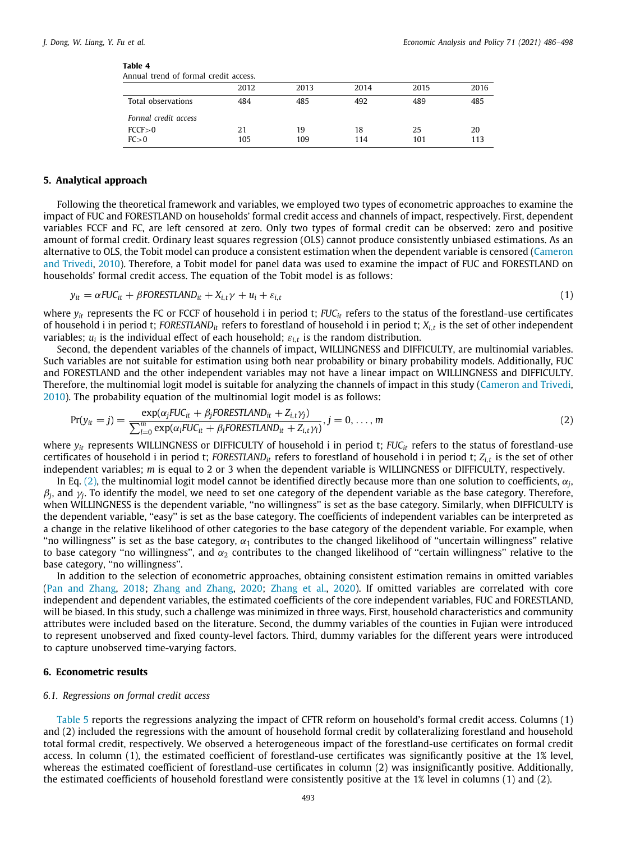<span id="page-7-2"></span>

| Table 4                                    |  |  |
|--------------------------------------------|--|--|
| Americal Americal of Connections districts |  |  |

| Annual trend of formal credit access. |           |           |           |           |           |
|---------------------------------------|-----------|-----------|-----------|-----------|-----------|
|                                       | 2012      | 2013      | 2014      | 2015      | 2016      |
| Total observations                    | 484       | 485       | 492       | 489       | 485       |
| Formal credit access                  |           |           |           |           |           |
| FCCF > 0<br>FC > 0                    | 21<br>105 | 19<br>109 | 18<br>114 | 25<br>101 | 20<br>113 |

### **5. Analytical approach**

<span id="page-7-0"></span>Following the theoretical framework and variables, we employed two types of econometric approaches to examine the impact of FUC and FORESTLAND on households' formal credit access and channels of impact, respectively. First, dependent variables FCCF and FC, are left censored at zero. Only two types of formal credit can be observed: zero and positive amount of formal credit. Ordinary least squares regression (OLS) cannot produce consistently unbiased estimations. As an alternative to OLS, the Tobit model can produce a consistent estimation when the dependent variable is censored [\(Cameron](#page-12-39) [and Trivedi](#page-12-39), [2010](#page-12-39)). Therefore, a Tobit model for panel data was used to examine the impact of FUC and FORESTLAND on households' formal credit access. The equation of the Tobit model is as follows:

$$
y_{it} = \alpha FUC_{it} + \beta FORESTLAND_{it} + X_{i,t}\gamma + u_i + \varepsilon_{i,t}
$$
\n(1)

where  $y_i$  represents the FC or FCCF of household i in period t; *FUC<sub>it</sub>* refers to the status of the forestland-use certificates of household i in period t; *FORESTLANDit* refers to forestland of household i in period t; *Xi*,*<sup>t</sup>* is the set of other independent variables;  $u_i$  is the individual effect of each household;  $\varepsilon_{i,t}$  is the random distribution.

Second, the dependent variables of the channels of impact, WILLINGNESS and DIFFICULTY, are multinomial variables. Such variables are not suitable for estimation using both near probability or binary probability models. Additionally, FUC and FORESTLAND and the other independent variables may not have a linear impact on WILLINGNESS and DIFFICULTY. Therefore, the multinomial logit model is suitable for analyzing the channels of impact in this study [\(Cameron and Trivedi,](#page-12-39) [2010\)](#page-12-39). The probability equation of the multinomial logit model is as follows:

<span id="page-7-3"></span>
$$
Pr(y_{it} = j) = \frac{\exp(\alpha_j FUC_{it} + \beta_j FORESTLAND_{it} + Z_{i,t}\gamma_j)}{\sum_{l=0}^{m} \exp(\alpha_l FUC_{it} + \beta_l FORESTLAND_{it} + Z_{i,t}\gamma_l)}, j = 0, ..., m
$$
\n(2)

where  $y_{it}$  represents WILLINGNESS or DIFFICULTY of household i in period t; *FUC<sub>it</sub>* refers to the status of forestland-use certificates of household i in period t; *FORESTLANDit* refers to forestland of household i in period t; *Zi*,*<sup>t</sup>* is the set of other independent variables; *m* is equal to 2 or 3 when the dependent variable is WILLINGNESS or DIFFICULTY, respectively.

In Eq. [\(2](#page-7-3)), the multinomial logit model cannot be identified directly because more than one solution to coefficients,  $\alpha_j$  $\beta_j$ , and  $\gamma_j$ . To identify the model, we need to set one category of the dependent variable as the base category. Therefore, when WILLINGNESS is the dependent variable, ''no willingness'' is set as the base category. Similarly, when DIFFICULTY is the dependent variable, ''easy'' is set as the base category. The coefficients of independent variables can be interpreted as a change in the relative likelihood of other categories to the base category of the dependent variable. For example, when "no willingness" is set as the base category,  $\alpha_1$  contributes to the changed likelihood of "uncertain willingness" relative to base category "no willingness", and  $\alpha_2$  contributes to the changed likelihood of "certain willingness" relative to the base category, ''no willingness''.

In addition to the selection of econometric approaches, obtaining consistent estimation remains in omitted variables [\(Pan and Zhang](#page-12-40), [2018](#page-12-40); [Zhang and Zhang,](#page-12-41) [2020;](#page-12-41) [Zhang et al.,](#page-12-42) [2020\)](#page-12-42). If omitted variables are correlated with core independent and dependent variables, the estimated coefficients of the core independent variables, FUC and FORESTLAND, will be biased. In this study, such a challenge was minimized in three ways. First, household characteristics and community attributes were included based on the literature. Second, the dummy variables of the counties in Fujian were introduced to represent unobserved and fixed county-level factors. Third, dummy variables for the different years were introduced to capture unobserved time-varying factors.

#### **6. Econometric results**

### <span id="page-7-1"></span>*6.1. Regressions on formal credit access*

[Table](#page-8-0) [5](#page-8-0) reports the regressions analyzing the impact of CFTR reform on household's formal credit access. Columns (1) and (2) included the regressions with the amount of household formal credit by collateralizing forestland and household total formal credit, respectively. We observed a heterogeneous impact of the forestland-use certificates on formal credit access. In column (1), the estimated coefficient of forestland-use certificates was significantly positive at the 1% level, whereas the estimated coefficient of forestland-use certificates in column (2) was insignificantly positive. Additionally, the estimated coefficients of household forestland were consistently positive at the 1% level in columns (1) and (2).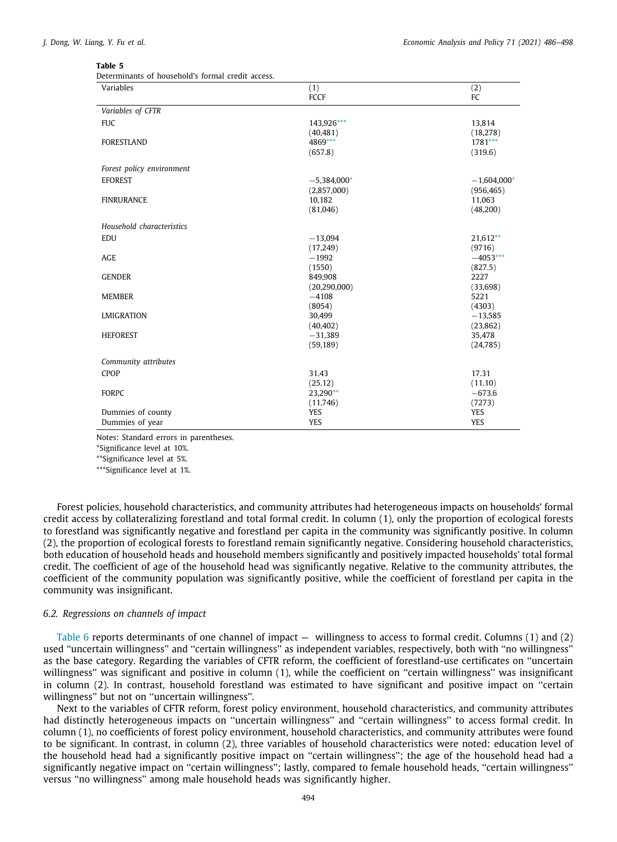<span id="page-8-0"></span>Determinants of household's formal credit access.

| Variables                 | (1)                    | (2)                    |
|---------------------------|------------------------|------------------------|
|                           | FCCF                   | FC                     |
| Variables of CFTR         |                        |                        |
| <b>FUC</b>                | 143,926***             | 13,814                 |
|                           | (40, 481)              | (18,278)               |
| <b>FORESTLAND</b>         | 4869***                | $1781***$              |
|                           | (657.8)                | (319.6)                |
| Forest policy environment |                        |                        |
| <b>EFOREST</b>            | $-5,384,000*$          | $-1,604,000*$          |
|                           | (2,857,000)            | (956, 465)             |
| <b>FINRURANCE</b>         | 10,182                 | 11,063                 |
|                           | (81,046)               | (48,200)               |
| Household characteristics |                        |                        |
| <b>EDU</b>                | $-13,094$              | $21,612**$             |
|                           | (17,249)               | (9716)                 |
| <b>AGE</b>                | $-1992$                | $-4053***$             |
|                           | (1550)                 | (827.5)                |
| <b>GENDER</b>             | 849,908                | 2227                   |
|                           | (20, 290, 000)         | (33, 698)              |
| <b>MEMBER</b>             | $-4108$                | 5221                   |
|                           | (8054)                 | (4303)                 |
| <b>LMIGRATION</b>         | 30,499                 | $-13,585$<br>(23, 862) |
| <b>HEFOREST</b>           | (40, 402)<br>$-31,389$ | 35,478                 |
|                           | (59, 189)              | (24, 785)              |
|                           |                        |                        |
| Community attributes      |                        |                        |
| <b>CPOP</b>               | 31.43                  | 17.31                  |
|                           | (25.12)                | (11.10)                |
| <b>FORPC</b>              | 23,290**               | $-673.6$               |
|                           | (11,746)               | (7273)                 |
| Dummies of county         | YES                    | YES                    |
| Dummies of year           | <b>YES</b>             | <b>YES</b>             |

Notes: Standard errors in parentheses.

<span id="page-8-2"></span>\*Significance level at 10%.

<span id="page-8-3"></span>\*\*Significance level at 5%.

<span id="page-8-1"></span>\*\*\*Significance level at 1%.

Forest policies, household characteristics, and community attributes had heterogeneous impacts on households' formal credit access by collateralizing forestland and total formal credit. In column (1), only the proportion of ecological forests to forestland was significantly negative and forestland per capita in the community was significantly positive. In column (2), the proportion of ecological forests to forestland remain significantly negative. Considering household characteristics, both education of household heads and household members significantly and positively impacted households' total formal credit. The coefficient of age of the household head was significantly negative. Relative to the community attributes, the coefficient of the community population was significantly positive, while the coefficient of forestland per capita in the community was insignificant.

### *6.2. Regressions on channels of impact*

[Table](#page-9-1) [6](#page-9-1) reports determinants of one channel of impact — willingness to access to formal credit. Columns (1) and (2) used ''uncertain willingness'' and ''certain willingness'' as independent variables, respectively, both with ''no willingness'' as the base category. Regarding the variables of CFTR reform, the coefficient of forestland-use certificates on ''uncertain willingness'' was significant and positive in column (1), while the coefficient on ''certain willingness'' was insignificant in column (2). In contrast, household forestland was estimated to have significant and positive impact on ''certain willingness'' but not on ''uncertain willingness''.

Next to the variables of CFTR reform, forest policy environment, household characteristics, and community attributes had distinctly heterogeneous impacts on ''uncertain willingness'' and ''certain willingness'' to access formal credit. In column (1), no coefficients of forest policy environment, household characteristics, and community attributes were found to be significant. In contrast, in column (2), three variables of household characteristics were noted: education level of the household head had a significantly positive impact on ''certain willingness''; the age of the household head had a significantly negative impact on ''certain willingness''; lastly, compared to female household heads, ''certain willingness'' versus ''no willingness'' among male household heads was significantly higher.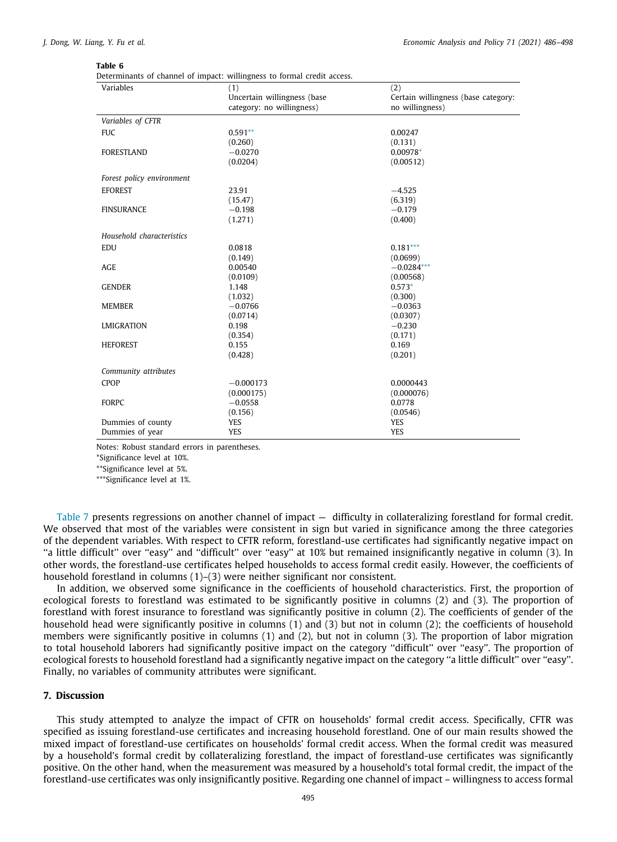<span id="page-9-1"></span>Determinants of channel of impact: willingness to formal credit access.

| (1)                         | (2)                                 |
|-----------------------------|-------------------------------------|
| Uncertain willingness (base | Certain willingness (base category: |
|                             | no willingness)                     |
|                             |                                     |
| $0.591**$                   | 0.00247                             |
| (0.260)                     | (0.131)                             |
| $-0.0270$                   | 0.00978*                            |
| (0.0204)                    | (0.00512)                           |
|                             |                                     |
| 23.91                       | $-4.525$                            |
| (15.47)                     | (6.319)                             |
| $-0.198$                    | $-0.179$                            |
| (1.271)                     | (0.400)                             |
|                             |                                     |
| 0.0818                      | $0.181***$                          |
| (0.149)                     | (0.0699)                            |
| 0.00540                     | $-0.0284***$                        |
| (0.0109)                    | (0.00568)                           |
| 1.148                       | $0.573*$                            |
| (1.032)                     | (0.300)                             |
| $-0.0766$                   | $-0.0363$                           |
| (0.0714)                    | (0.0307)                            |
| 0.198                       | $-0.230$                            |
| (0.354)                     | (0.171)                             |
|                             | 0.169                               |
| (0.428)                     | (0.201)                             |
|                             |                                     |
| $-0.000173$                 | 0.0000443                           |
| (0.000175)                  | (0.000076)                          |
| $-0.0558$                   | 0.0778                              |
| (0.156)                     | (0.0546)                            |
| <b>YES</b>                  | <b>YES</b>                          |
| YES                         | YES                                 |
|                             | category: no willingness)<br>0.155  |

Notes: Robust standard errors in parentheses.

<span id="page-9-3"></span>\*Significance level at 10%.

<span id="page-9-2"></span>\*\*Significance level at 5%.

<span id="page-9-4"></span>\*\*\*Significance level at 1%.

[Table](#page-10-0) [7](#page-10-0) presents regressions on another channel of impact — difficulty in collateralizing forestland for formal credit. We observed that most of the variables were consistent in sign but varied in significance among the three categories of the dependent variables. With respect to CFTR reform, forestland-use certificates had significantly negative impact on ''a little difficult'' over ''easy'' and ''difficult'' over ''easy'' at 10% but remained insignificantly negative in column (3). In other words, the forestland-use certificates helped households to access formal credit easily. However, the coefficients of household forestland in columns (1)–(3) were neither significant nor consistent.

In addition, we observed some significance in the coefficients of household characteristics. First, the proportion of ecological forests to forestland was estimated to be significantly positive in columns (2) and (3). The proportion of forestland with forest insurance to forestland was significantly positive in column (2). The coefficients of gender of the household head were significantly positive in columns (1) and (3) but not in column (2); the coefficients of household members were significantly positive in columns (1) and (2), but not in column (3). The proportion of labor migration to total household laborers had significantly positive impact on the category ''difficult'' over ''easy''. The proportion of ecological forests to household forestland had a significantly negative impact on the category ''a little difficult'' over ''easy''. Finally, no variables of community attributes were significant.

#### **7. Discussion**

<span id="page-9-0"></span>This study attempted to analyze the impact of CFTR on households' formal credit access. Specifically, CFTR was specified as issuing forestland-use certificates and increasing household forestland. One of our main results showed the mixed impact of forestland-use certificates on households' formal credit access. When the formal credit was measured by a household's formal credit by collateralizing forestland, the impact of forestland-use certificates was significantly positive. On the other hand, when the measurement was measured by a household's total formal credit, the impact of the forestland-use certificates was only insignificantly positive. Regarding one channel of impact – willingness to access formal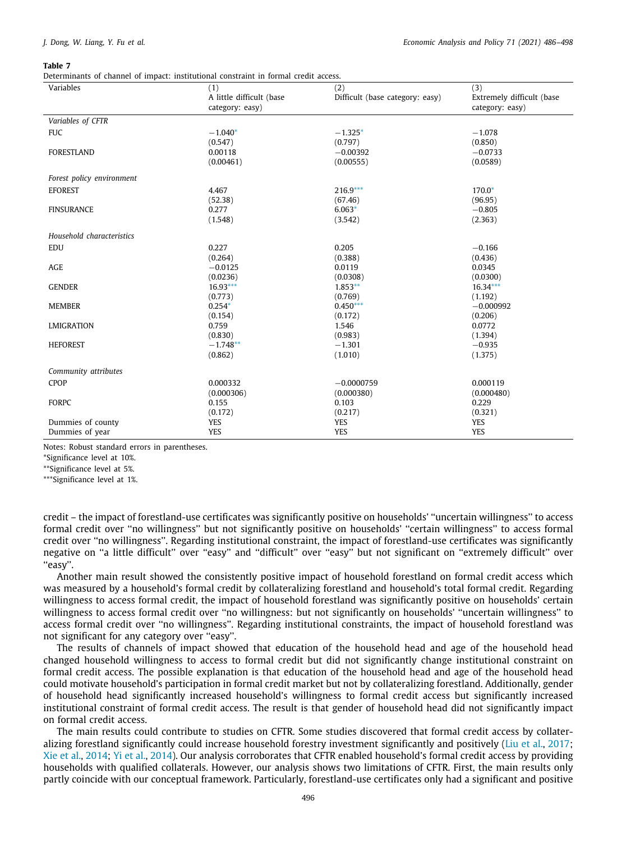<span id="page-10-0"></span>Determinants of channel of impact: institutional constraint in formal credit access.

| Variables                 | (1)                      | (2)                             | (3)                       |
|---------------------------|--------------------------|---------------------------------|---------------------------|
|                           | A little difficult (base | Difficult (base category: easy) | Extremely difficult (base |
|                           | category: easy)          |                                 | category: easy)           |
| Variables of CFTR         |                          |                                 |                           |
| <b>FUC</b>                | $-1.040*$                | $-1.325*$                       | $-1.078$                  |
|                           | (0.547)                  | (0.797)                         | (0.850)                   |
| <b>FORESTLAND</b>         | 0.00118                  | $-0.00392$                      | $-0.0733$                 |
|                           | (0.00461)                | (0.00555)                       | (0.0589)                  |
| Forest policy environment |                          |                                 |                           |
| <b>EFOREST</b>            | 4.467                    | $216.9***$                      | $170.0*$                  |
|                           | (52.38)                  | (67.46)                         | (96.95)                   |
| <b>FINSURANCE</b>         | 0.277                    | $6.063*$                        | $-0.805$                  |
|                           | (1.548)                  | (3.542)                         | (2.363)                   |
| Household characteristics |                          |                                 |                           |
| <b>EDU</b>                | 0.227                    | 0.205                           | $-0.166$                  |
|                           | (0.264)                  | (0.388)                         | (0.436)                   |
| AGE                       | $-0.0125$                | 0.0119                          | 0.0345                    |
|                           | (0.0236)                 | (0.0308)                        | (0.0300)                  |
| <b>GENDER</b>             | $16.93***$               | $1.853**$                       | $16.34***$                |
|                           | (0.773)                  | (0.769)                         | (1.192)                   |
| <b>MEMBER</b>             | $0.254*$                 | $0.450***$                      | $-0.000992$               |
|                           | (0.154)                  | (0.172)                         | (0.206)                   |
| <b>LMIGRATION</b>         | 0.759                    | 1.546                           | 0.0772                    |
|                           | (0.830)                  | (0.983)                         | (1.394)                   |
| <b>HEFOREST</b>           | $-1.748**$               | $-1.301$                        | $-0.935$                  |
|                           | (0.862)                  | (1.010)                         | (1.375)                   |
| Community attributes      |                          |                                 |                           |
| CPOP                      | 0.000332                 | $-0.0000759$                    | 0.000119                  |
|                           | (0.000306)               | (0.000380)                      | (0.000480)                |
| <b>FORPC</b>              | 0.155                    | 0.103                           | 0.229                     |
|                           | (0.172)                  | (0.217)                         | (0.321)                   |
| Dummies of county         | <b>YES</b>               | <b>YES</b>                      | <b>YES</b>                |
| Dummies of year           | <b>YES</b>               | <b>YES</b>                      | <b>YES</b>                |
|                           |                          |                                 |                           |

Notes: Robust standard errors in parentheses.

<span id="page-10-1"></span>\*Significance level at 10%.

<span id="page-10-3"></span>\*\*Significance level at 5%.

<span id="page-10-2"></span>\*\*\*Significance level at 1%.

credit – the impact of forestland-use certificates was significantly positive on households' ''uncertain willingness'' to access formal credit over ''no willingness'' but not significantly positive on households' ''certain willingness'' to access formal credit over ''no willingness''. Regarding institutional constraint, the impact of forestland-use certificates was significantly negative on ''a little difficult'' over ''easy'' and ''difficult'' over ''easy'' but not significant on ''extremely difficult'' over "easy".

Another main result showed the consistently positive impact of household forestland on formal credit access which was measured by a household's formal credit by collateralizing forestland and household's total formal credit. Regarding willingness to access formal credit, the impact of household forestland was significantly positive on households' certain willingness to access formal credit over ''no willingness: but not significantly on households' ''uncertain willingness'' to access formal credit over ''no willingness''. Regarding institutional constraints, the impact of household forestland was not significant for any category over ''easy''.

The results of channels of impact showed that education of the household head and age of the household head changed household willingness to access to formal credit but did not significantly change institutional constraint on formal credit access. The possible explanation is that education of the household head and age of the household head could motivate household's participation in formal credit market but not by collateralizing forestland. Additionally, gender of household head significantly increased household's willingness to formal credit access but significantly increased institutional constraint of formal credit access. The result is that gender of household head did not significantly impact on formal credit access.

The main results could contribute to studies on CFTR. Some studies discovered that formal credit access by collateralizing forestland significantly could increase household forestry investment significantly and positively [\(Liu et al.](#page-12-15), [2017;](#page-12-15) [Xie et al.](#page-12-12), [2014;](#page-12-12) [Yi et al.,](#page-12-14) [2014\)](#page-12-14). Our analysis corroborates that CFTR enabled household's formal credit access by providing households with qualified collaterals. However, our analysis shows two limitations of CFTR. First, the main results only partly coincide with our conceptual framework. Particularly, forestland-use certificates only had a significant and positive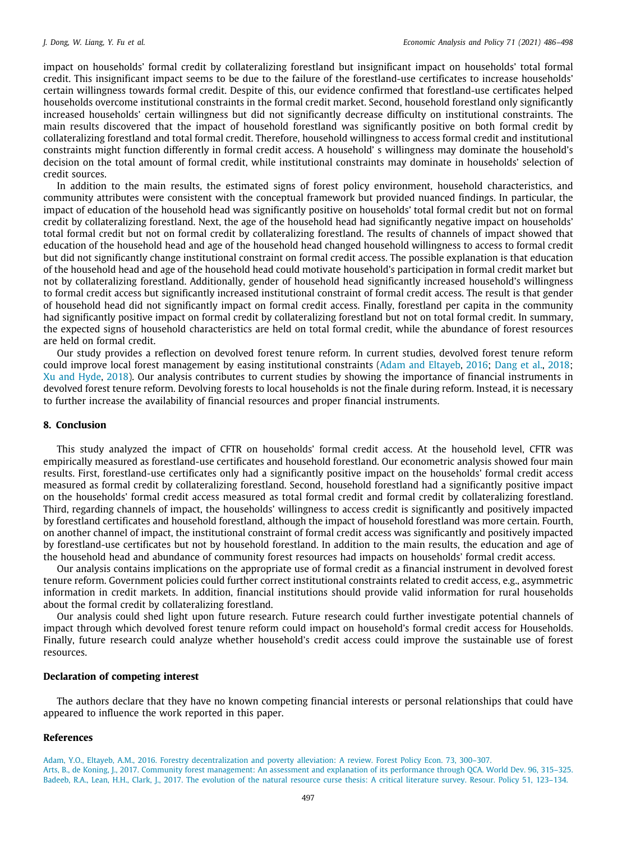impact on households' formal credit by collateralizing forestland but insignificant impact on households' total formal credit. This insignificant impact seems to be due to the failure of the forestland-use certificates to increase households' certain willingness towards formal credit. Despite of this, our evidence confirmed that forestland-use certificates helped households overcome institutional constraints in the formal credit market. Second, household forestland only significantly increased households' certain willingness but did not significantly decrease difficulty on institutional constraints. The main results discovered that the impact of household forestland was significantly positive on both formal credit by collateralizing forestland and total formal credit. Therefore, household willingness to access formal credit and institutional constraints might function differently in formal credit access. A household' s willingness may dominate the household's decision on the total amount of formal credit, while institutional constraints may dominate in households' selection of credit sources.

In addition to the main results, the estimated signs of forest policy environment, household characteristics, and community attributes were consistent with the conceptual framework but provided nuanced findings. In particular, the impact of education of the household head was significantly positive on households' total formal credit but not on formal credit by collateralizing forestland. Next, the age of the household head had significantly negative impact on households' total formal credit but not on formal credit by collateralizing forestland. The results of channels of impact showed that education of the household head and age of the household head changed household willingness to access to formal credit but did not significantly change institutional constraint on formal credit access. The possible explanation is that education of the household head and age of the household head could motivate household's participation in formal credit market but not by collateralizing forestland. Additionally, gender of household head significantly increased household's willingness to formal credit access but significantly increased institutional constraint of formal credit access. The result is that gender of household head did not significantly impact on formal credit access. Finally, forestland per capita in the community had significantly positive impact on formal credit by collateralizing forestland but not on total formal credit. In summary, the expected signs of household characteristics are held on total formal credit, while the abundance of forest resources are held on formal credit.

Our study provides a reflection on devolved forest tenure reform. In current studies, devolved forest tenure reform could improve local forest management by easing institutional constraints ([Adam and Eltayeb,](#page-11-3) [2016;](#page-11-3) [Dang et al.,](#page-12-43) [2018;](#page-12-43) [Xu and Hyde](#page-12-10), [2018\)](#page-12-10). Our analysis contributes to current studies by showing the importance of financial instruments in devolved forest tenure reform. Devolving forests to local households is not the finale during reform. Instead, it is necessary to further increase the availability of financial resources and proper financial instruments.

#### **8. Conclusion**

<span id="page-11-1"></span>This study analyzed the impact of CFTR on households' formal credit access. At the household level, CFTR was empirically measured as forestland-use certificates and household forestland. Our econometric analysis showed four main results. First, forestland-use certificates only had a significantly positive impact on the households' formal credit access measured as formal credit by collateralizing forestland. Second, household forestland had a significantly positive impact on the households' formal credit access measured as total formal credit and formal credit by collateralizing forestland. Third, regarding channels of impact, the households' willingness to access credit is significantly and positively impacted by forestland certificates and household forestland, although the impact of household forestland was more certain. Fourth, on another channel of impact, the institutional constraint of formal credit access was significantly and positively impacted by forestland-use certificates but not by household forestland. In addition to the main results, the education and age of the household head and abundance of community forest resources had impacts on households' formal credit access.

Our analysis contains implications on the appropriate use of formal credit as a financial instrument in devolved forest tenure reform. Government policies could further correct institutional constraints related to credit access, e.g., asymmetric information in credit markets. In addition, financial institutions should provide valid information for rural households about the formal credit by collateralizing forestland.

Our analysis could shed light upon future research. Future research could further investigate potential channels of impact through which devolved forest tenure reform could impact on household's formal credit access for Households. Finally, future research could analyze whether household's credit access could improve the sustainable use of forest resources.

# **Declaration of competing interest**

The authors declare that they have no known competing financial interests or personal relationships that could have appeared to influence the work reported in this paper.

#### **References**

<span id="page-11-3"></span><span id="page-11-2"></span><span id="page-11-0"></span>[Adam, Y.O., Eltayeb, A.M., 2016. Forestry decentralization and poverty alleviation: A review. Forest Policy Econ. 73, 300–307.](http://refhub.elsevier.com/S0313-5926(21)00076-X/sb1) [Arts, B., de Koning, J., 2017. Community forest management: An assessment and explanation of its performance through QCA. World Dev. 96, 315–325.](http://refhub.elsevier.com/S0313-5926(21)00076-X/sb2) [Badeeb, R.A., Lean, H.H., Clark, J., 2017. The evolution of the natural resource curse thesis: A critical literature survey. Resour. Policy 51, 123–134.](http://refhub.elsevier.com/S0313-5926(21)00076-X/sb3)